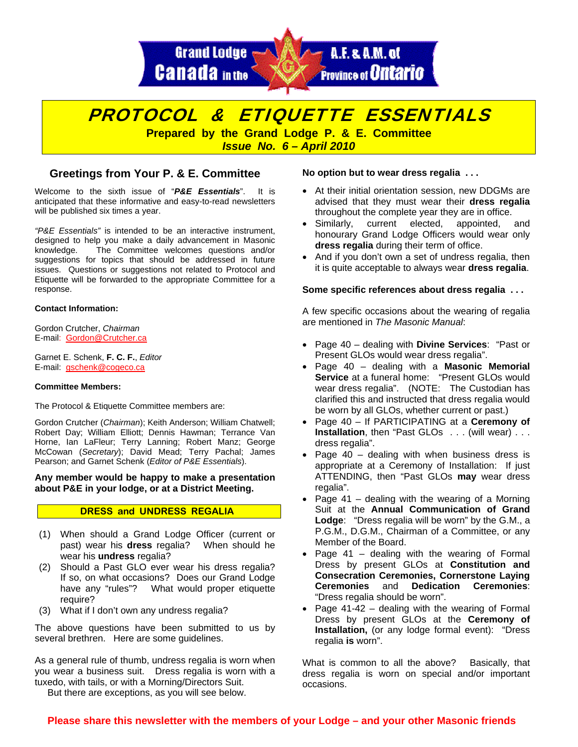

# PROTOCOL & ETIQUETTE ESSENTIALS

**Prepared by the Grand Lodge P. & E. Committee**  *Issue No. 6 – April 2010* 

## **Greetings from Your P. & E. Committee**

Welcome to the sixth issue of "*P&E Essentials*". It is anticipated that these informative and easy-to-read newsletters will be published six times a year.

*"P&E Essentials"* is intended to be an interactive instrument, designed to help you make a daily advancement in Masonic knowledge. The Committee welcomes questions and/or suggestions for topics that should be addressed in future issues. Questions or suggestions not related to Protocol and Etiquette will be forwarded to the appropriate Committee for a response.

#### **Contact Information:**

Gordon Crutcher, *Chairman* E-mail: [Gordon@Crutcher.ca](mailto:Gordon@Crutcher.ca)

Garnet E. Schenk, **F. C. F.**, *Editor*  E-mail: [gschenk@cogeco.ca](mailto:gschenk@cogeco.ca)

#### **Committee Members:**

The Protocol & Etiquette Committee members are:

Gordon Crutcher (*Chairman*); Keith Anderson; William Chatwell; Robert Day; William Elliott; Dennis Hawman; Terrance Van Horne, Ian LaFleur; Terry Lanning; Robert Manz; George McCowan (*Secretary*); David Mead; Terry Pachal; James Pearson; and Garnet Schenk (*Editor of P&E Essentials*).

#### **Any member would be happy to make a presentation about P&E in your lodge, or at a District Meeting.**

#### **DRESS and UNDRESS REGALIA**

- (1) When should a Grand Lodge Officer (current or past) wear his **dress** regalia? When should he wear his **undress** regalia?
- (2) Should a Past GLO ever wear his dress regalia? If so, on what occasions? Does our Grand Lodge have any "rules"? What would proper etiquette require?
- (3) What if I don't own any undress regalia?

The above questions have been submitted to us by several brethren. Here are some guidelines.

As a general rule of thumb, undress regalia is worn when you wear a business suit. Dress regalia is worn with a tuxedo, with tails, or with a Morning/Directors Suit.

But there are exceptions, as you will see below.

#### **No option but to wear dress regalia . . .**

- At their initial orientation session, new DDGMs are advised that they must wear their **dress regalia** throughout the complete year they are in office.
- Similarly, current elected, appointed, and honourary Grand Lodge Officers would wear only **dress regalia** during their term of office.
- And if you don't own a set of undress regalia, then it is quite acceptable to always wear **dress regalia**.

#### **Some specific references about dress regalia . . .**

A few specific occasions about the wearing of regalia are mentioned in *The Masonic Manual*:

- Page 40 dealing with **Divine Services**: "Past or Present GLOs would wear dress regalia".
- Page 40 dealing with a **Masonic Memorial Service** at a funeral home: "Present GLOs would wear dress regalia". (NOTE: The Custodian has clarified this and instructed that dress regalia would be worn by all GLOs, whether current or past.)
- Page 40 If PARTICIPATING at a **Ceremony of Installation**, then "Past GLOs . . . (will wear) . . . dress regalia".
- Page 40 dealing with when business dress is appropriate at a Ceremony of Installation: If just ATTENDING, then "Past GLOs **may** wear dress regalia".
- Page  $41$  dealing with the wearing of a Morning Suit at the **Annual Communication of Grand Lodge**: "Dress regalia will be worn" by the G.M., a P.G.M., D.G.M., Chairman of a Committee, or any Member of the Board.
- Page 41 dealing with the wearing of Formal Dress by present GLOs at **Constitution and Consecration Ceremonies, Cornerstone Laying Ceremonies** and **Dedication Ceremonies**: "Dress regalia should be worn".
- Page 41-42 dealing with the wearing of Formal Dress by present GLOs at the **Ceremony of Installation,** (or any lodge formal event): "Dress regalia **is** worn".

What is common to all the above? Basically, that dress regalia is worn on special and/or important occasions.